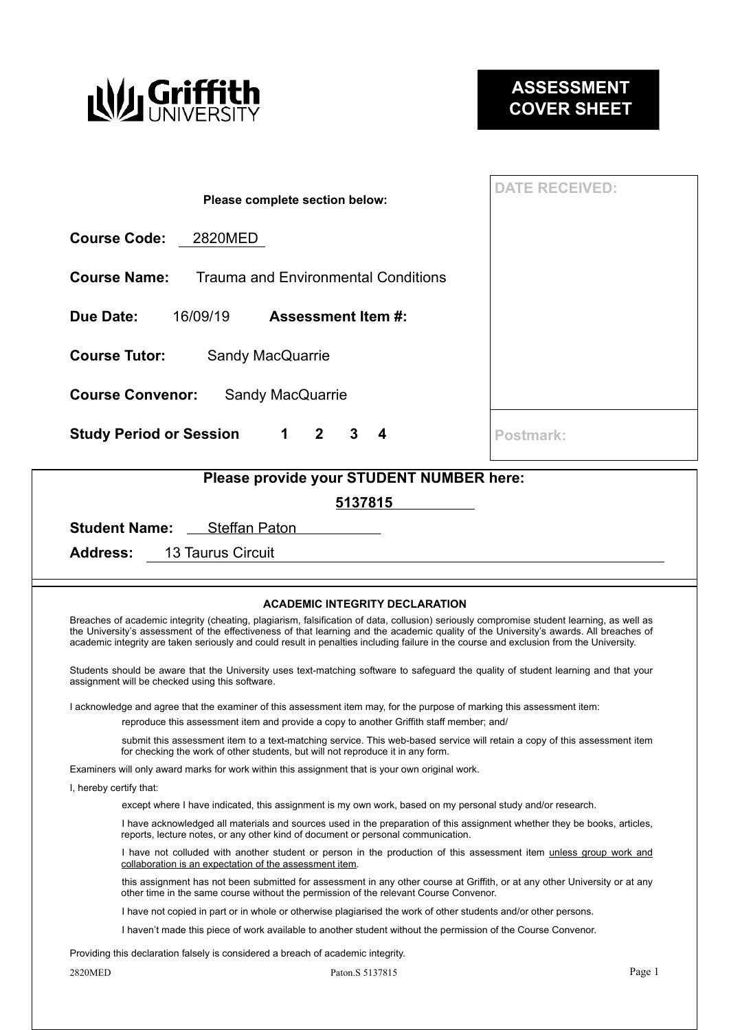

| Please complete section below:                                         | <b>DATE RECEIVED:</b> |  |  |  |  |  |  |  |
|------------------------------------------------------------------------|-----------------------|--|--|--|--|--|--|--|
| <b>Course Code:</b><br>2820MED                                         |                       |  |  |  |  |  |  |  |
| <b>Course Name:</b><br><b>Trauma and Environmental Conditions</b>      |                       |  |  |  |  |  |  |  |
| Due Date:<br>16/09/19<br><b>Assessment Item #:</b>                     |                       |  |  |  |  |  |  |  |
| <b>Course Tutor:</b><br><b>Sandy MacQuarrie</b>                        |                       |  |  |  |  |  |  |  |
| <b>Course Convenor:</b><br><b>Sandy MacQuarrie</b>                     |                       |  |  |  |  |  |  |  |
| $1 \quad 2$<br><b>Study Period or Session</b><br>3<br>$\boldsymbol{4}$ | Postmark:             |  |  |  |  |  |  |  |
| Plaasa provida vour STLIDENT NUMBER hara:                              |                       |  |  |  |  |  |  |  |

| Please provide your STUDENT NUMBER here: |                                    |         |  |  |  |  |
|------------------------------------------|------------------------------------|---------|--|--|--|--|
|                                          |                                    | 5137815 |  |  |  |  |
|                                          | <b>Student Name:</b> Steffan Paton |         |  |  |  |  |
|                                          | <b>Address:</b> 13 Taurus Circuit  |         |  |  |  |  |

#### **ACADEMIC INTEGRITY DECLARATION**

Breaches of academic integrity (cheating, plagiarism, falsification of data, collusion) seriously compromise student learning, as well as the University's assessment of the effectiveness of that learning and the academic quality of the University's awards. All breaches of academic integrity are taken seriously and could result in penalties including failure in the course and exclusion from the University.

Students should be aware that the University uses text-matching software to safeguard the quality of student learning and that your assignment will be checked using this software.

I acknowledge and agree that the examiner of this assessment item may, for the purpose of marking this assessment item:

reproduce this assessment item and provide a copy to another Griffith staff member; and/

 submit this assessment item to a text-matching service. This web-based service will retain a copy of this assessment item for checking the work of other students, but will not reproduce it in any form.

Examiners will only award marks for work within this assignment that is your own original work.

I, hereby certify that:

except where I have indicated, this assignment is my own work, based on my personal study and/or research.

 I have acknowledged all materials and sources used in the preparation of this assignment whether they be books, articles, reports, lecture notes, or any other kind of document or personal communication.

I have not colluded with another student or person in the production of this assessment item unless group work and collaboration is an expectation of the assessment item.

 this assignment has not been submitted for assessment in any other course at Griffith, or at any other University or at any other time in the same course without the permission of the relevant Course Convenor.

I have not copied in part or in whole or otherwise plagiarised the work of other students and/or other persons.

I haven't made this piece of work available to another student without the permission of the Course Convenor.

Providing this declaration falsely is considered a breach of academic integrity.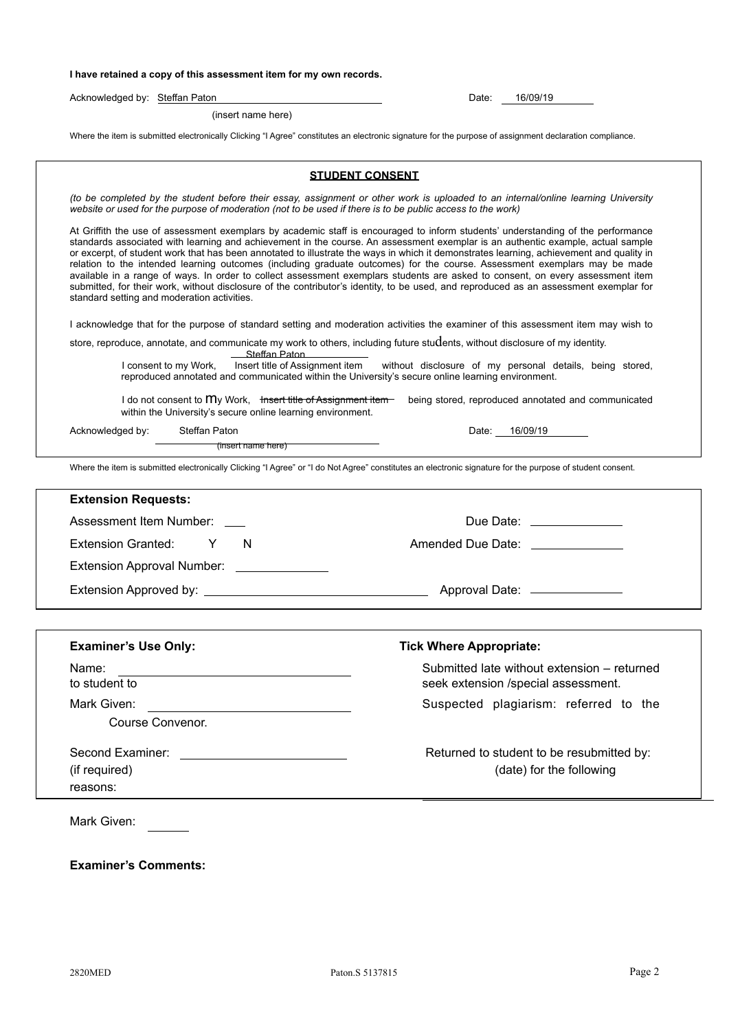#### **I have retained a copy of this assessment item for my own records.**

Acknowledged by: Steffan Paton **Date: Date: Date: Date: 16/09/19** 

(insert name here)

Where the item is submitted electronically Clicking "I Agree" constitutes an electronic signature for the purpose of assignment declaration compliance.

|                                                                                                                                                                                                                                                          | <b>STUDENT CONSENT</b>                                                                                                                                                                                                                                                                                                                                                                                                                                                                                                                                                                                                                                                                                                                                                                                                  |  |  |  |
|----------------------------------------------------------------------------------------------------------------------------------------------------------------------------------------------------------------------------------------------------------|-------------------------------------------------------------------------------------------------------------------------------------------------------------------------------------------------------------------------------------------------------------------------------------------------------------------------------------------------------------------------------------------------------------------------------------------------------------------------------------------------------------------------------------------------------------------------------------------------------------------------------------------------------------------------------------------------------------------------------------------------------------------------------------------------------------------------|--|--|--|
| (to be completed by the student before their essay, assignment or other work is uploaded to an internal/online learning University<br>website or used for the purpose of moderation (not to be used if there is to be public access to the work)         |                                                                                                                                                                                                                                                                                                                                                                                                                                                                                                                                                                                                                                                                                                                                                                                                                         |  |  |  |
| standard setting and moderation activities.                                                                                                                                                                                                              | At Griffith the use of assessment exemplars by academic staff is encouraged to inform students' understanding of the performance<br>standards associated with learning and achievement in the course. An assessment exemplar is an authentic example, actual sample<br>or excerpt, of student work that has been annotated to illustrate the ways in which it demonstrates learning, achievement and quality in<br>relation to the intended learning outcomes (including graduate outcomes) for the course. Assessment exemplars may be made<br>available in a range of ways. In order to collect assessment exemplars students are asked to consent, on every assessment item<br>submitted, for their work, without disclosure of the contributor's identity, to be used, and reproduced as an assessment exemplar for |  |  |  |
|                                                                                                                                                                                                                                                          | I acknowledge that for the purpose of standard setting and moderation activities the examiner of this assessment item may wish to                                                                                                                                                                                                                                                                                                                                                                                                                                                                                                                                                                                                                                                                                       |  |  |  |
|                                                                                                                                                                                                                                                          | store, reproduce, annotate, and communicate my work to others, including future students, without disclosure of my identity.                                                                                                                                                                                                                                                                                                                                                                                                                                                                                                                                                                                                                                                                                            |  |  |  |
| Steffan Paton<br>I consent to my Work,                                                                                                                                                                                                                   | Insert title of Assignment item without disclosure of my personal details, being stored,<br>reproduced annotated and communicated within the University's secure online learning environment.                                                                                                                                                                                                                                                                                                                                                                                                                                                                                                                                                                                                                           |  |  |  |
| I do not consent to My Work, tnsert title of Assignment item-<br>within the University's secure online learning environment.                                                                                                                             | being stored, reproduced annotated and communicated                                                                                                                                                                                                                                                                                                                                                                                                                                                                                                                                                                                                                                                                                                                                                                     |  |  |  |
| Acknowledged by:<br>Steffan Paton                                                                                                                                                                                                                        | Date: 16/09/19                                                                                                                                                                                                                                                                                                                                                                                                                                                                                                                                                                                                                                                                                                                                                                                                          |  |  |  |
| (insert name here)                                                                                                                                                                                                                                       |                                                                                                                                                                                                                                                                                                                                                                                                                                                                                                                                                                                                                                                                                                                                                                                                                         |  |  |  |
|                                                                                                                                                                                                                                                          | Where the item is submitted electronically Clicking "I Agree" or "I do Not Agree" constitutes an electronic signature for the purpose of student consent.                                                                                                                                                                                                                                                                                                                                                                                                                                                                                                                                                                                                                                                               |  |  |  |
| <b>Extension Requests:</b>                                                                                                                                                                                                                               |                                                                                                                                                                                                                                                                                                                                                                                                                                                                                                                                                                                                                                                                                                                                                                                                                         |  |  |  |
| Assessment Item Number: __                                                                                                                                                                                                                               | Due Date: _______________                                                                                                                                                                                                                                                                                                                                                                                                                                                                                                                                                                                                                                                                                                                                                                                               |  |  |  |
| <b>Extension Granted:</b><br>Y<br>N                                                                                                                                                                                                                      | Amended Due Date: Amended Oue Date:                                                                                                                                                                                                                                                                                                                                                                                                                                                                                                                                                                                                                                                                                                                                                                                     |  |  |  |
|                                                                                                                                                                                                                                                          |                                                                                                                                                                                                                                                                                                                                                                                                                                                                                                                                                                                                                                                                                                                                                                                                                         |  |  |  |
|                                                                                                                                                                                                                                                          | Approval Date: <u>_________________</u>                                                                                                                                                                                                                                                                                                                                                                                                                                                                                                                                                                                                                                                                                                                                                                                 |  |  |  |
|                                                                                                                                                                                                                                                          |                                                                                                                                                                                                                                                                                                                                                                                                                                                                                                                                                                                                                                                                                                                                                                                                                         |  |  |  |
|                                                                                                                                                                                                                                                          |                                                                                                                                                                                                                                                                                                                                                                                                                                                                                                                                                                                                                                                                                                                                                                                                                         |  |  |  |
| <b>Examiner's Use Only:</b>                                                                                                                                                                                                                              | <b>Tick Where Appropriate:</b>                                                                                                                                                                                                                                                                                                                                                                                                                                                                                                                                                                                                                                                                                                                                                                                          |  |  |  |
| Name:                                                                                                                                                                                                                                                    | Submitted late without extension - returned                                                                                                                                                                                                                                                                                                                                                                                                                                                                                                                                                                                                                                                                                                                                                                             |  |  |  |
| to student to<br>Mark Given:                                                                                                                                                                                                                             | seek extension /special assessment.                                                                                                                                                                                                                                                                                                                                                                                                                                                                                                                                                                                                                                                                                                                                                                                     |  |  |  |
| Course Convenor.                                                                                                                                                                                                                                         | Suspected plagiarism: referred to the                                                                                                                                                                                                                                                                                                                                                                                                                                                                                                                                                                                                                                                                                                                                                                                   |  |  |  |
|                                                                                                                                                                                                                                                          |                                                                                                                                                                                                                                                                                                                                                                                                                                                                                                                                                                                                                                                                                                                                                                                                                         |  |  |  |
| Second Examiner:<br><u>and the state of the state of the state of the state of the state of the state of the state of the state of the state of the state of the state of the state of the state of the state of the state of the state of the state</u> | Returned to student to be resubmitted by:                                                                                                                                                                                                                                                                                                                                                                                                                                                                                                                                                                                                                                                                                                                                                                               |  |  |  |
| (if required)                                                                                                                                                                                                                                            | (date) for the following                                                                                                                                                                                                                                                                                                                                                                                                                                                                                                                                                                                                                                                                                                                                                                                                |  |  |  |
| reasons:                                                                                                                                                                                                                                                 |                                                                                                                                                                                                                                                                                                                                                                                                                                                                                                                                                                                                                                                                                                                                                                                                                         |  |  |  |
| Mark Given:                                                                                                                                                                                                                                              |                                                                                                                                                                                                                                                                                                                                                                                                                                                                                                                                                                                                                                                                                                                                                                                                                         |  |  |  |
|                                                                                                                                                                                                                                                          |                                                                                                                                                                                                                                                                                                                                                                                                                                                                                                                                                                                                                                                                                                                                                                                                                         |  |  |  |

**Examiner's Comments:**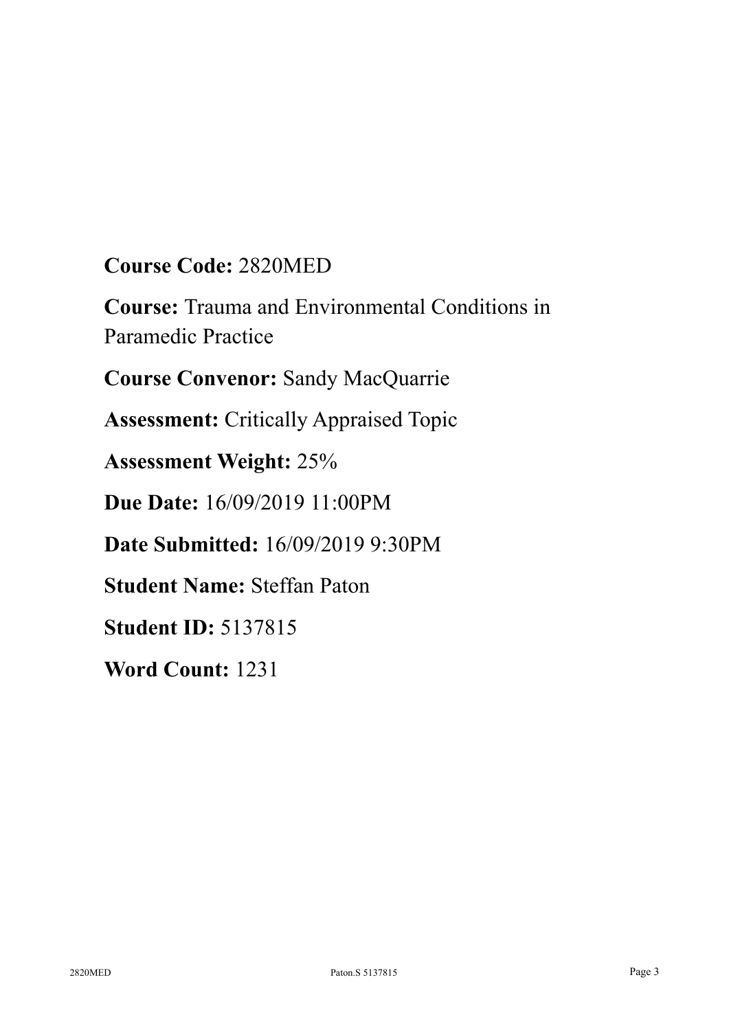# **Course Code:** 2820MED

**Course:** Trauma and Environmental Conditions in Paramedic Practice

**Course Convenor:** Sandy MacQuarrie

**Assessment:** Critically Appraised Topic

**Assessment Weight:** 25%

**Due Date:** 16/09/2019 11:00PM

**Date Submitted:** 16/09/2019 9:30PM

**Student Name:** Steffan Paton

**Student ID:** 5137815

**Word Count:** 1231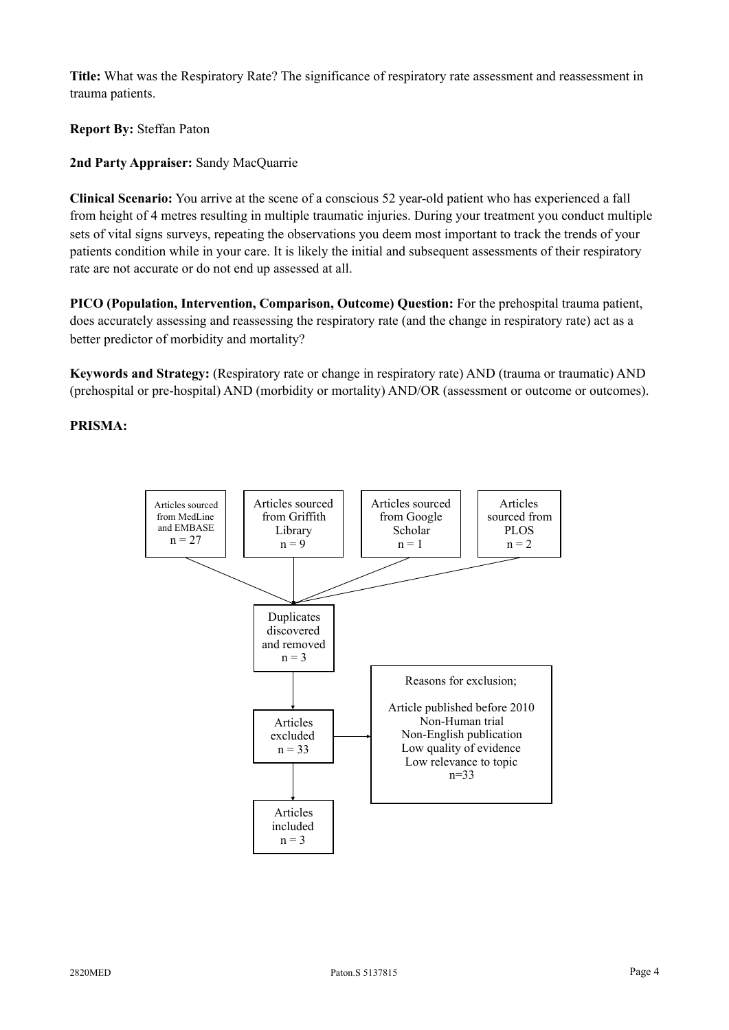**Title:** What was the Respiratory Rate? The significance of respiratory rate assessment and reassessment in trauma patients.

**Report By:** Steffan Paton

**2nd Party Appraiser:** Sandy MacQuarrie

**Clinical Scenario:** You arrive at the scene of a conscious 52 year-old patient who has experienced a fall from height of 4 metres resulting in multiple traumatic injuries. During your treatment you conduct multiple sets of vital signs surveys, repeating the observations you deem most important to track the trends of your patients condition while in your care. It is likely the initial and subsequent assessments of their respiratory rate are not accurate or do not end up assessed at all.

**PICO (Population, Intervention, Comparison, Outcome) Question:** For the prehospital trauma patient, does accurately assessing and reassessing the respiratory rate (and the change in respiratory rate) act as a better predictor of morbidity and mortality?

**Keywords and Strategy:** (Respiratory rate or change in respiratory rate) AND (trauma or traumatic) AND (prehospital or pre-hospital) AND (morbidity or mortality) AND/OR (assessment or outcome or outcomes).

### **PRISMA:**

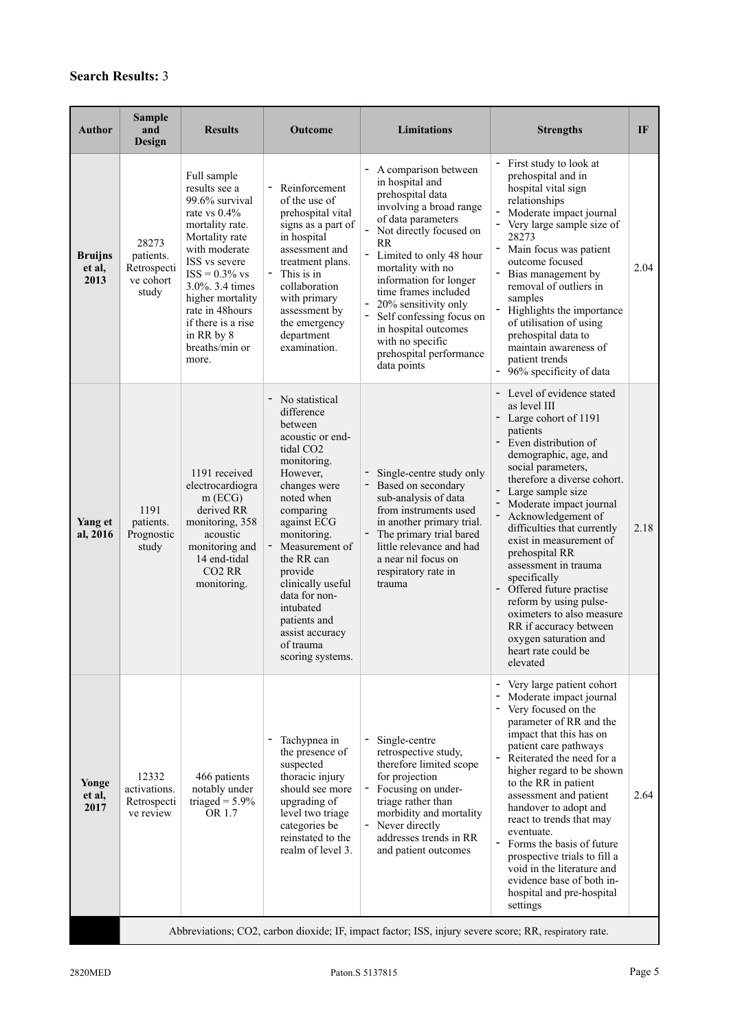# **Search Results:** 3

| Author                           | <b>Sample</b><br>and<br>Design                                                                         | <b>Results</b>                                                                                                                                                                                                                                                                        | Outcome                                                                                                                                                                                                                                                                                                                                                      | Limitations                                                                                                                                                                                                                                                                                                                                                                                                                      | <b>Strengths</b>                                                                                                                                                                                                                                                                                                                                                                                                                                                                                                                                                 | IF   |  |  |
|----------------------------------|--------------------------------------------------------------------------------------------------------|---------------------------------------------------------------------------------------------------------------------------------------------------------------------------------------------------------------------------------------------------------------------------------------|--------------------------------------------------------------------------------------------------------------------------------------------------------------------------------------------------------------------------------------------------------------------------------------------------------------------------------------------------------------|----------------------------------------------------------------------------------------------------------------------------------------------------------------------------------------------------------------------------------------------------------------------------------------------------------------------------------------------------------------------------------------------------------------------------------|------------------------------------------------------------------------------------------------------------------------------------------------------------------------------------------------------------------------------------------------------------------------------------------------------------------------------------------------------------------------------------------------------------------------------------------------------------------------------------------------------------------------------------------------------------------|------|--|--|
| <b>Bruijns</b><br>et al,<br>2013 | 28273<br>patients.<br>Retrospecti<br>ve cohort<br>study                                                | Full sample<br>results see a<br>99.6% survival<br>rate vs $0.4\%$<br>mortality rate.<br>Mortality rate<br>with moderate<br>ISS vs severe<br>$ISS = 0.3\%$ vs<br>3.0%. 3.4 times<br>higher mortality<br>rate in 48hours<br>if there is a rise<br>in RR by 8<br>breaths/min or<br>more. | Reinforcement<br>of the use of<br>prehospital vital<br>signs as a part of<br>in hospital<br>assessment and<br>treatment plans.<br>This is in<br>collaboration<br>with primary<br>assessment by<br>the emergency<br>department<br>examination.                                                                                                                | A comparison between<br>in hospital and<br>prehospital data<br>involving a broad range<br>of data parameters<br>Not directly focused on<br><b>RR</b><br>$\qquad \qquad \blacksquare$<br>Limited to only 48 hour<br>mortality with no<br>information for longer<br>time frames included<br>20% sensitivity only<br>Self confessing focus on<br>in hospital outcomes<br>with no specific<br>prehospital performance<br>data points | - First study to look at<br>prehospital and in<br>hospital vital sign<br>relationships<br>Moderate impact journal<br>Very large sample size of<br>28273<br>÷<br>Main focus was patient<br>outcome focused<br>$\frac{1}{2}$<br>Bias management by<br>removal of outliers in<br>samples<br>$\overline{\phantom{0}}$<br>Highlights the importance<br>of utilisation of using<br>prehospital data to<br>maintain awareness of<br>patient trends<br>- 96% specificity of data                                                                                         | 2.04 |  |  |
| Yang et<br>al, 2016              | 1191<br>patients.<br>Prognostic<br>study                                                               | 1191 received<br>electrocardiogra<br>$m$ (ECG)<br>derived RR<br>monitoring, 358<br>acoustic<br>monitoring and<br>14 end-tidal<br>CO <sub>2</sub> R <sub>R</sub><br>monitoring.                                                                                                        | - No statistical<br>difference<br>between<br>acoustic or end-<br>tidal CO <sub>2</sub><br>monitoring.<br>However,<br>changes were<br>noted when<br>comparing<br>against ECG<br>monitoring.<br>Measurement of<br>the RR can<br>provide<br>clinically useful<br>data for non-<br>intubated<br>patients and<br>assist accuracy<br>of trauma<br>scoring systems. | Single-centre study only<br>Based on secondary<br>sub-analysis of data<br>from instruments used<br>in another primary trial.<br>The primary trial bared<br>little relevance and had<br>a near nil focus on<br>respiratory rate in<br>trauma                                                                                                                                                                                      | - Level of evidence stated<br>as level III<br>- Large cohort of 1191<br>patients<br>- Even distribution of<br>demographic, age, and<br>social parameters,<br>therefore a diverse cohort.<br>- Large sample size<br>- Moderate impact journal<br>- Acknowledgement of<br>difficulties that currently<br>exist in measurement of<br>prehospital RR<br>assessment in trauma<br>specifically<br>Offered future practise<br>reform by using pulse-<br>oximeters to also measure<br>RR if accuracy between<br>oxygen saturation and<br>heart rate could be<br>elevated | 2.18 |  |  |
| Yonge<br>et al,<br>2017          | 12332<br>activations.<br>Retrospecti<br>ve review                                                      | 466 patients<br>notably under<br>triaged = $5.9\%$<br>OR 1.7                                                                                                                                                                                                                          | Tachypnea in<br>the presence of<br>suspected<br>thoracic injury<br>should see more<br>upgrading of<br>level two triage<br>categories be<br>reinstated to the<br>realm of level 3.                                                                                                                                                                            | Single-centre<br>retrospective study,<br>therefore limited scope<br>for projection<br>Focusing on under-<br>triage rather than<br>morbidity and mortality<br>Never directly<br>addresses trends in RR<br>and patient outcomes                                                                                                                                                                                                    | Very large patient cohort<br>Moderate impact journal<br>Very focused on the<br>parameter of RR and the<br>impact that this has on<br>patient care pathways<br>Reiterated the need for a<br>higher regard to be shown<br>to the RR in patient<br>assessment and patient<br>handover to adopt and<br>react to trends that may<br>eventuate.<br>Forms the basis of future<br>$\sim$<br>prospective trials to fill a<br>void in the literature and<br>evidence base of both in-<br>hospital and pre-hospital<br>settings                                             | 2.64 |  |  |
|                                  | Abbreviations; CO2, carbon dioxide; IF, impact factor; ISS, injury severe score; RR, respiratory rate. |                                                                                                                                                                                                                                                                                       |                                                                                                                                                                                                                                                                                                                                                              |                                                                                                                                                                                                                                                                                                                                                                                                                                  |                                                                                                                                                                                                                                                                                                                                                                                                                                                                                                                                                                  |      |  |  |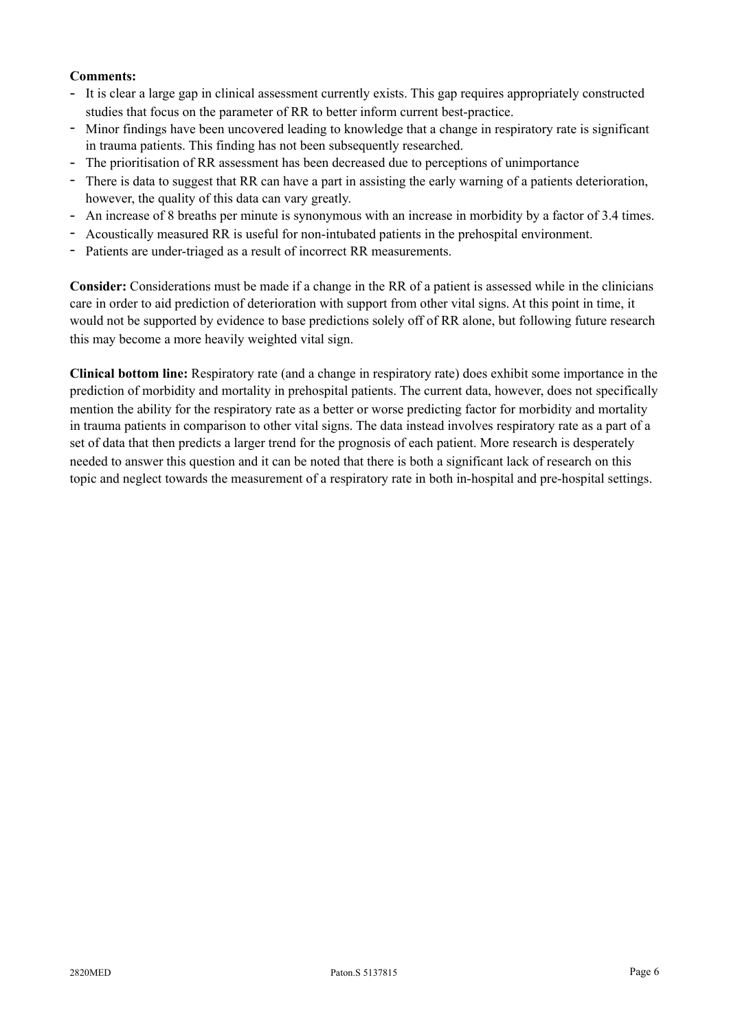## **Comments:**

- It is clear a large gap in clinical assessment currently exists. This gap requires appropriately constructed studies that focus on the parameter of RR to better inform current best-practice.
- Minor findings have been uncovered leading to knowledge that a change in respiratory rate is significant in trauma patients. This finding has not been subsequently researched.
- The prioritisation of RR assessment has been decreased due to perceptions of unimportance
- There is data to suggest that RR can have a part in assisting the early warning of a patients deterioration, however, the quality of this data can vary greatly.
- An increase of 8 breaths per minute is synonymous with an increase in morbidity by a factor of 3.4 times.
- Acoustically measured RR is useful for non-intubated patients in the prehospital environment.
- Patients are under-triaged as a result of incorrect RR measurements.

**Consider:** Considerations must be made if a change in the RR of a patient is assessed while in the clinicians care in order to aid prediction of deterioration with support from other vital signs. At this point in time, it would not be supported by evidence to base predictions solely off of RR alone, but following future research this may become a more heavily weighted vital sign.

**Clinical bottom line:** Respiratory rate (and a change in respiratory rate) does exhibit some importance in the prediction of morbidity and mortality in prehospital patients. The current data, however, does not specifically mention the ability for the respiratory rate as a better or worse predicting factor for morbidity and mortality in trauma patients in comparison to other vital signs. The data instead involves respiratory rate as a part of a set of data that then predicts a larger trend for the prognosis of each patient. More research is desperately needed to answer this question and it can be noted that there is both a significant lack of research on this topic and neglect towards the measurement of a respiratory rate in both in-hospital and pre-hospital settings.